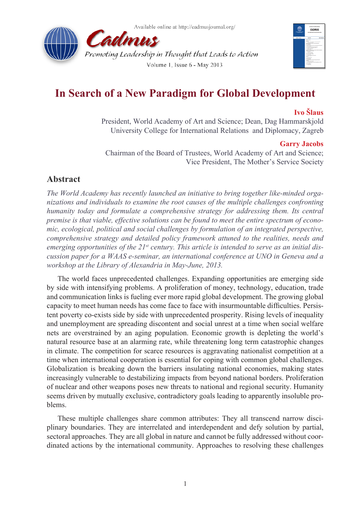



# **In Search of a New Paradigm for Global Development**

### **Ivo Šlaus**

President, World Academy of Art and Science; Dean, Dag Hammarskjold University College for International Relations and Diplomacy, Zagreb

#### **Garry Jacobs**

Chairman of the Board of Trustees, World Academy of Art and Science; Vice President, The Mother's Service Society

### **Abstract**

*The World Academy has recently launched an initiative to bring together like-minded organizations and individuals to examine the root causes of the multiple challenges confronting humanity today and formulate a comprehensive strategy for addressing them. Its central premise is that viable, effective solutions can be found to meet the entire spectrum of economic, ecological, political and social challenges by formulation of an integrated perspective, comprehensive strategy and detailed policy framework attuned to the realities, needs and emerging opportunities of the 21st century. This article is intended to serve as an initial discussion paper for a WAAS e-seminar, an international conference at UNO in Geneva and a workshop at the Library of Alexandria in May-June, 2013.*

The world faces unprecedented challenges. Expanding opportunities are emerging side by side with intensifying problems. A proliferation of money, technology, education, trade and communication links is fueling ever more rapid global development. The growing global capacity to meet human needs has come face to face with insurmountable difficulties. Persistent poverty co-exists side by side with unprecedented prosperity. Rising levels of inequality and unemployment are spreading discontent and social unrest at a time when social welfare nets are overstrained by an aging population. Economic growth is depleting the world's natural resource base at an alarming rate, while threatening long term catastrophic changes in climate. The competition for scarce resources is aggravating nationalist competition at a time when international cooperation is essential for coping with common global challenges. Globalization is breaking down the barriers insulating national economies, making states increasingly vulnerable to destabilizing impacts from beyond national borders. Proliferation of nuclear and other weapons poses new threats to national and regional security. Humanity seems driven by mutually exclusive, contradictory goals leading to apparently insoluble problems.

These multiple challenges share common attributes: They all transcend narrow disciplinary boundaries. They are interrelated and interdependent and defy solution by partial, sectoral approaches. They are all global in nature and cannot be fully addressed without coordinated actions by the international community. Approaches to resolving these challenges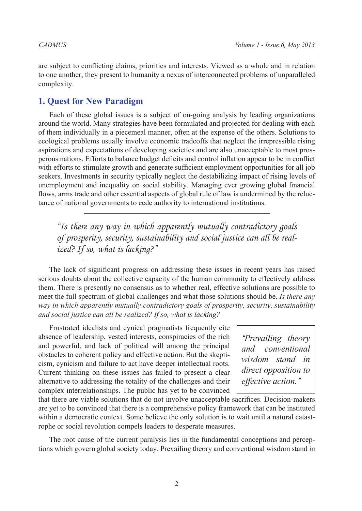are subject to conflicting claims, priorities and interests. Viewed as a whole and in relation to one another, they present to humanity a nexus of interconnected problems of unparalleled complexity.

# **1. Quest for New Paradigm**

Each of these global issues is a subject of on-going analysis by leading organizations around the world. Many strategies have been formulated and projected for dealing with each of them individually in a piecemeal manner, often at the expense of the others. Solutions to ecological problems usually involve economic tradeoffs that neglect the irrepressible rising aspirations and expectations of developing societies and are also unacceptable to most prosperous nations. Efforts to balance budget deficits and control inflation appear to be in conflict with efforts to stimulate growth and generate sufficient employment opportunities for all job seekers. Investments in security typically neglect the destabilizing impact of rising levels of unemployment and inequality on social stability. Managing ever growing global financial flows, arms trade and other essential aspects of global rule of law is undermined by the reluctance of national governments to cede authority to international institutions.

*"Is there any way in which apparently mutually contradictory goals of prosperity, security, sustainability and social justice can all be realized? If so, what is lacking?"*

The lack of significant progress on addressing these issues in recent years has raised serious doubts about the collective capacity of the human community to effectively address them. There is presently no consensus as to whether real, effective solutions are possible to meet the full spectrum of global challenges and what those solutions should be. *Is there any way in which apparently mutually contradictory goals of prosperity, security, sustainability and social justice can all be realized? If so, what is lacking?*

Frustrated idealists and cynical pragmatists frequently cite absence of leadership, vested interests, conspiracies of the rich and powerful, and lack of political will among the principal obstacles to coherent policy and effective action. But the skepticism, cynicism and failure to act have deeper intellectual roots. Current thinking on these issues has failed to present a clear alternative to addressing the totality of the challenges and their complex interrelationships. The public has yet to be convinced

*"Prevailing theory and conventional wisdom stand in direct opposition to effective action."*

that there are viable solutions that do not involve unacceptable sacrifices. Decision-makers are yet to be convinced that there is a comprehensive policy framework that can be instituted within a democratic context. Some believe the only solution is to wait until a natural catastrophe or social revolution compels leaders to desperate measures.

The root cause of the current paralysis lies in the fundamental conceptions and perceptions which govern global society today. Prevailing theory and conventional wisdom stand in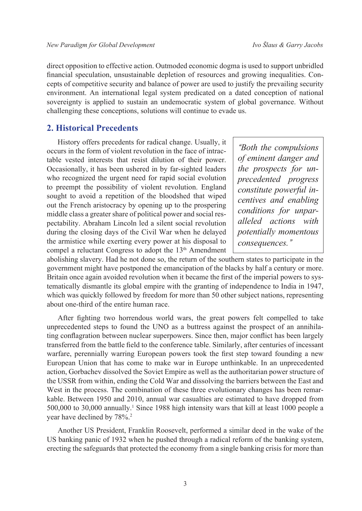direct opposition to effective action. Outmoded economic dogma is used to support unbridled financial speculation, unsustainable depletion of resources and growing inequalities. Concepts of competitive security and balance of power are used to justify the prevailing security environment. An international legal system predicated on a dated conception of national sovereignty is applied to sustain an undemocratic system of global governance. Without challenging these conceptions, solutions will continue to evade us.

#### **2. Historical Precedents**

History offers precedents for radical change. Usually, it occurs in the form of violent revolution in the face of intractable vested interests that resist dilution of their power. Occasionally, it has been ushered in by far-sighted leaders who recognized the urgent need for rapid social evolution to preempt the possibility of violent revolution. England sought to avoid a repetition of the bloodshed that wiped out the French aristocracy by opening up to the prospering middle class a greater share of political power and social respectability. Abraham Lincoln led a silent social revolution during the closing days of the Civil War when he delayed the armistice while exerting every power at his disposal to compel a reluctant Congress to adopt the 13<sup>th</sup> Amendment

*"Both the compulsions of eminent danger and the prospects for unprecedented progress constitute powerful incentives and enabling conditions for unparalleled actions with potentially momentous consequences."*

abolishing slavery. Had he not done so, the return of the southern states to participate in the government might have postponed the emancipation of the blacks by half a century or more. Britain once again avoided revolution when it became the first of the imperial powers to systematically dismantle its global empire with the granting of independence to India in 1947, which was quickly followed by freedom for more than 50 other subject nations, representing about one-third of the entire human race.

After fighting two horrendous world wars, the great powers felt compelled to take unprecedented steps to found the UNO as a buttress against the prospect of an annihilating conflagration between nuclear superpowers. Since then, major conflict has been largely transferred from the battle field to the conference table. Similarly, after centuries of incessant warfare, perennially warring European powers took the first step toward founding a new European Union that has come to make war in Europe unthinkable. In an unprecedented action, Gorbachev dissolved the Soviet Empire as well as the authoritarian power structure of the USSR from within, ending the Cold War and dissolving the barriers between the East and West in the process. The combination of these three evolutionary changes has been remarkable. Between 1950 and 2010, annual war casualties are estimated to have dropped from 500,000 to 30,000 annually.[1](#page-6-0) Since 1988 high intensity wars that kill at least 1000 people a year have declined by  $78\%$ .<sup>2</sup>

Another US President, Franklin Roosevelt, performed a similar deed in the wake of the US banking panic of 1932 when he pushed through a radical reform of the banking system, erecting the safeguards that protected the economy from a single banking crisis for more than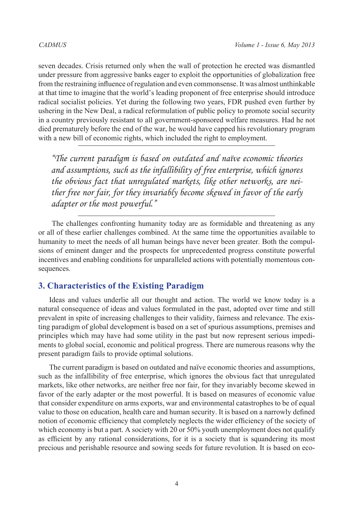seven decades. Crisis returned only when the wall of protection he erected was dismantled under pressure from aggressive banks eager to exploit the opportunities of globalization free from the restraining influence of regulation and even commonsense. It was almost unthinkable at that time to imagine that the world's leading proponent of free enterprise should introduce radical socialist policies. Yet during the following two years, FDR pushed even further by ushering in the New Deal, a radical reformulation of public policy to promote social security in a country previously resistant to all government-sponsored welfare measures. Had he not died prematurely before the end of the war, he would have capped his revolutionary program with a new bill of economic rights, which included the right to employment.

*"The current paradigm is based on outdated and naïve economic theories and assumptions, such as the infallibility of free enterprise, which ignores the obvious fact that unregulated markets, like other networks, are neither free nor fair, for they invariably become skewed in favor of the early adapter or the most powerful."*

 The challenges confronting humanity today are as formidable and threatening as any or all of these earlier challenges combined. At the same time the opportunities available to humanity to meet the needs of all human beings have never been greater. Both the compulsions of eminent danger and the prospects for unprecedented progress constitute powerful incentives and enabling conditions for unparalleled actions with potentially momentous consequences.

#### **3. Characteristics of the Existing Paradigm**

Ideas and values underlie all our thought and action. The world we know today is a natural consequence of ideas and values formulated in the past, adopted over time and still prevalent in spite of increasing challenges to their validity, fairness and relevance. The existing paradigm of global development is based on a set of spurious assumptions, premises and principles which may have had some utility in the past but now represent serious impediments to global social, economic and political progress. There are numerous reasons why the present paradigm fails to provide optimal solutions.

The current paradigm is based on outdated and naïve economic theories and assumptions, such as the infallibility of free enterprise, which ignores the obvious fact that unregulated markets, like other networks, are neither free nor fair, for they invariably become skewed in favor of the early adapter or the most powerful. It is based on measures of economic value that consider expenditure on arms exports, war and environmental catastrophes to be of equal value to those on education, health care and human security. It is based on a narrowly defined notion of economic efficiency that completely neglects the wider efficiency of the society of which economy is but a part. A society with 20 or 50% youth unemployment does not qualify as efficient by any rational considerations, for it is a society that is squandering its most precious and perishable resource and sowing seeds for future revolution. It is based on eco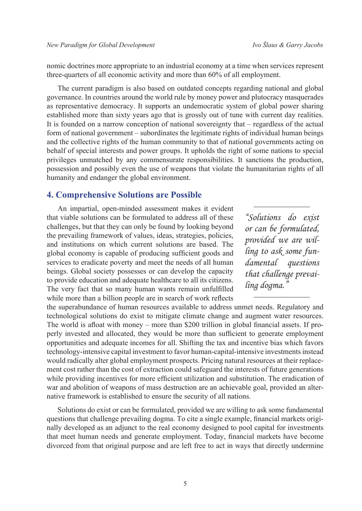nomic doctrines more appropriate to an industrial economy at a time when services represent three-quarters of all economic activity and more than 60% of all employment.

The current paradigm is also based on outdated concepts regarding national and global governance. In countries around the world rule by money power and plutocracy masquerades as representative democracy. It supports an undemocratic system of global power sharing established more than sixty years ago that is grossly out of tune with current day realities. It is founded on a narrow conception of national sovereignty that – regardless of the actual form of national government – subordinates the legitimate rights of individual human beings and the collective rights of the human community to that of national governments acting on behalf of special interests and power groups. It upholds the right of some nations to special privileges unmatched by any commensurate responsibilities. It sanctions the production, possession and possibly even the use of weapons that violate the humanitarian rights of all humanity and endanger the global environment.

#### **4. Comprehensive Solutions are Possible**

An impartial, open-minded assessment makes it evident that viable solutions can be formulated to address all of these challenges, but that they can only be found by looking beyond the prevailing framework of values, ideas, strategies, policies, and institutions on which current solutions are based. The global economy is capable of producing sufficient goods and services to eradicate poverty and meet the needs of all human beings. Global society possesses or can develop the capacity to provide education and adequate healthcare to all its citizens. The very fact that so many human wants remain unfulfilled while more than a billion people are in search of work reflects

the superabundance of human resources available to address unmet needs. Regulatory and technological solutions do exist to mitigate climate change and augment water resources. The world is afloat with money – more than \$200 trillion in global financial assets. If properly invested and allocated, they would be more than sufficient to generate employment opportunities and adequate incomes for all. Shifting the tax and incentive bias which favors technology-intensive capital investment to favor human-capital-intensive investments instead would radically alter global employment prospects. Pricing natural resources at their replacement cost rather than the cost of extraction could safeguard the interests of future generations while providing incentives for more efficient utilization and substitution. The eradication of war and abolition of weapons of mass destruction are an achievable goal, provided an alternative framework is established to ensure the security of all nations.

Solutions do exist or can be formulated, provided we are willing to ask some fundamental questions that challenge prevailing dogma. To cite a single example, financial markets originally developed as an adjunct to the real economy designed to pool capital for investments that meet human needs and generate employment. Today, financial markets have become divorced from that original purpose and are left free to act in ways that directly undermine

*"Solutions do exist or can be formulated, provided we are willing to ask some fundamental questions that challenge prevailing dogma."*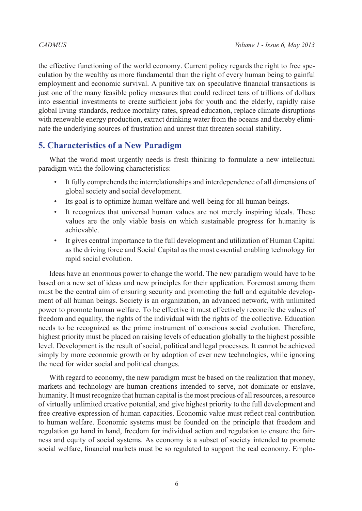the effective functioning of the world economy. Current policy regards the right to free speculation by the wealthy as more fundamental than the right of every human being to gainful employment and economic survival. A punitive tax on speculative financial transactions is just one of the many feasible policy measures that could redirect tens of trillions of dollars into essential investments to create sufficient jobs for youth and the elderly, rapidly raise global living standards, reduce mortality rates, spread education, replace climate disruptions with renewable energy production, extract drinking water from the oceans and thereby eliminate the underlying sources of frustration and unrest that threaten social stability.

# **5. Characteristics of a New Paradigm**

What the world most urgently needs is fresh thinking to formulate a new intellectual paradigm with the following characteristics:

- It fully comprehends the interrelationships and interdependence of all dimensions of global society and social development.
- Its goal is to optimize human welfare and well-being for all human beings.
- It recognizes that universal human values are not merely inspiring ideals. These values are the only viable basis on which sustainable progress for humanity is achievable.
- It gives central importance to the full development and utilization of Human Capital as the driving force and Social Capital as the most essential enabling technology for rapid social evolution.

Ideas have an enormous power to change the world. The new paradigm would have to be based on a new set of ideas and new principles for their application. Foremost among them must be the central aim of ensuring security and promoting the full and equitable development of all human beings. Society is an organization, an advanced network, with unlimited power to promote human welfare. To be effective it must effectively reconcile the values of freedom and equality, the rights of the individual with the rights of the collective. Education needs to be recognized as the prime instrument of conscious social evolution. Therefore, highest priority must be placed on raising levels of education globally to the highest possible level. Development is the result of social, political and legal processes. It cannot be achieved simply by more economic growth or by adoption of ever new technologies, while ignoring the need for wider social and political changes.

With regard to economy, the new paradigm must be based on the realization that money, markets and technology are human creations intended to serve, not dominate or enslave, humanity. It must recognize that human capital is the most precious of all resources, a resource of virtually unlimited creative potential, and give highest priority to the full development and free creative expression of human capacities. Economic value must reflect real contribution to human welfare. Economic systems must be founded on the principle that freedom and regulation go hand in hand, freedom for individual action and regulation to ensure the fairness and equity of social systems. As economy is a subset of society intended to promote social welfare, financial markets must be so regulated to support the real economy. Emplo